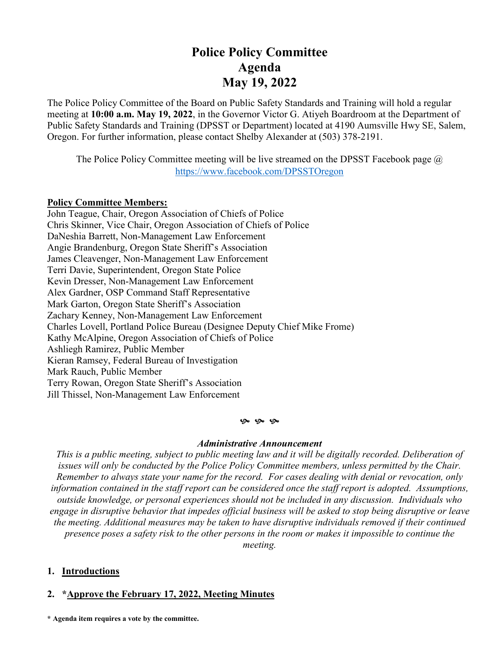# **Police Policy Committee Agenda May 19, 2022**

The Police Policy Committee of the Board on Public Safety Standards and Training will hold a regular meeting at **10:00 a.m. May 19, 2022**, in the Governor Victor G. Atiyeh Boardroom at the Department of Public Safety Standards and Training (DPSST or Department) located at 4190 Aumsville Hwy SE, Salem, Oregon. For further information, please contact Shelby Alexander at (503) 378-2191.

The Police Policy Committee meeting will be live streamed on the DPSST Facebook page  $\omega$ <https://www.facebook.com/DPSSTOregon>

## **Policy Committee Members:**

John Teague, Chair, Oregon Association of Chiefs of Police Chris Skinner, Vice Chair, Oregon Association of Chiefs of Police DaNeshia Barrett, Non-Management Law Enforcement Angie Brandenburg, Oregon State Sheriff's Association James Cleavenger, Non-Management Law Enforcement Terri Davie, Superintendent, Oregon State Police Kevin Dresser, Non-Management Law Enforcement Alex Gardner, OSP Command Staff Representative Mark Garton, Oregon State Sheriff's Association Zachary Kenney, Non-Management Law Enforcement Charles Lovell, Portland Police Bureau (Designee Deputy Chief Mike Frome) Kathy McAlpine, Oregon Association of Chiefs of Police Ashliegh Ramirez, Public Member Kieran Ramsey, Federal Bureau of Investigation Mark Rauch, Public Member Terry Rowan, Oregon State Sheriff's Association Jill Thissel, Non-Management Law Enforcement

#### **9** 9 9

#### *Administrative Announcement*

*This is a public meeting, subject to public meeting law and it will be digitally recorded. Deliberation of issues will only be conducted by the Police Policy Committee members, unless permitted by the Chair. Remember to always state your name for the record. For cases dealing with denial or revocation, only information contained in the staff report can be considered once the staff report is adopted. Assumptions, outside knowledge, or personal experiences should not be included in any discussion. Individuals who engage in disruptive behavior that impedes official business will be asked to stop being disruptive or leave the meeting. Additional measures may be taken to have disruptive individuals removed if their continued presence poses a safety risk to the other persons in the room or makes it impossible to continue the* 

*meeting.*

# **1. Introductions**

## **2. \*Approve the February 17, 2022, Meeting Minutes**